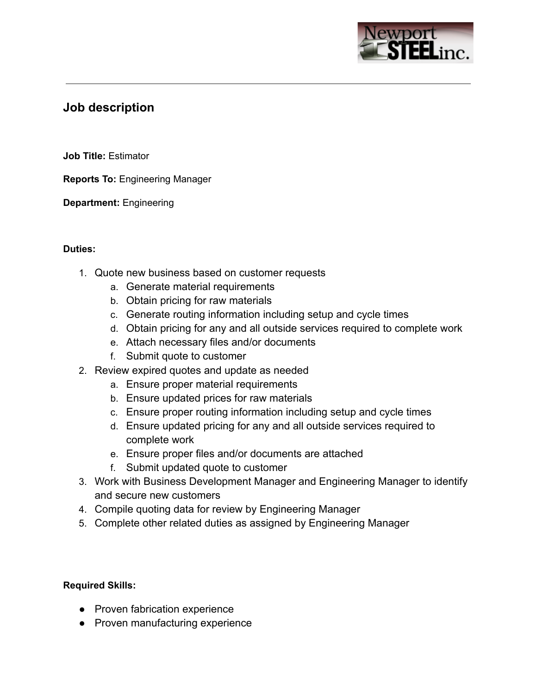

# **Job description**

**Job Title:** Estimator

**Reports To:** Engineering Manager

**Department:** Engineering

## **Duties:**

- 1. Quote new business based on customer requests
	- a. Generate material requirements
	- b. Obtain pricing for raw materials
	- c. Generate routing information including setup and cycle times
	- d. Obtain pricing for any and all outside services required to complete work
	- e. Attach necessary files and/or documents
	- f. Submit quote to customer
- 2. Review expired quotes and update as needed
	- a. Ensure proper material requirements
	- b. Ensure updated prices for raw materials
	- c. Ensure proper routing information including setup and cycle times
	- d. Ensure updated pricing for any and all outside services required to complete work
	- e. Ensure proper files and/or documents are attached
	- f. Submit updated quote to customer
- 3. Work with Business Development Manager and Engineering Manager to identify and secure new customers
- 4. Compile quoting data for review by Engineering Manager
- 5. Complete other related duties as assigned by Engineering Manager

## **Required Skills:**

- Proven fabrication experience
- Proven manufacturing experience